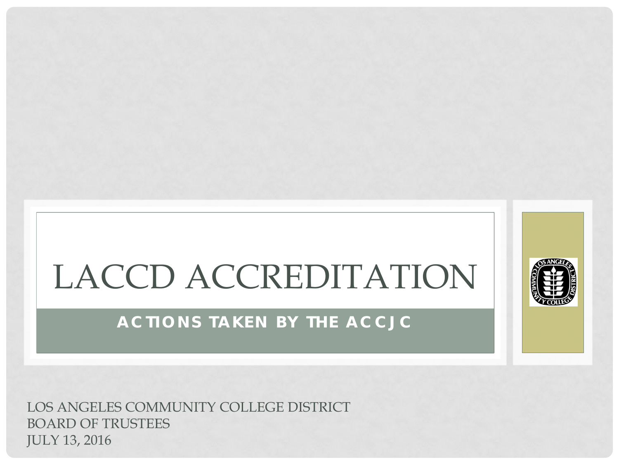# LACCD ACCREDITATION

### **ACTIONS TAKEN BY THE ACCJC**

LOS ANGELES COMMUNITY COLLEGE DISTRICT BOARD OF TRUSTEES JULY 13, 2016

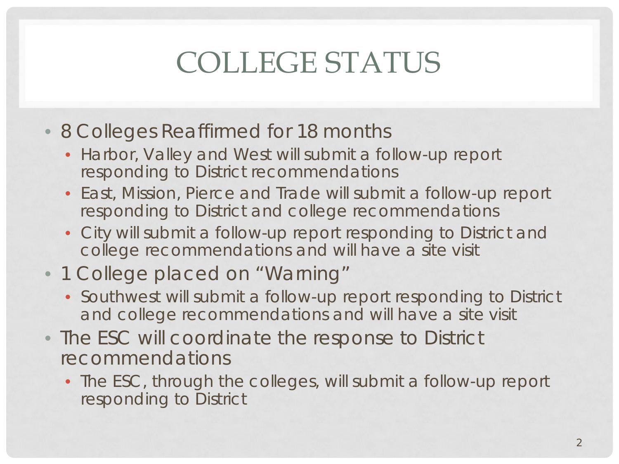## COLLEGE STATUS

- 8 Colleges Reaffirmed for 18 months
	- Harbor, Valley and West will submit a follow-up report responding to District recommendations
	- East, Mission, Pierce and Trade will submit a follow-up report responding to District and college recommendations
	- City will submit a follow-up report responding to District and college recommendations and will have a site visit
- 1 College placed on "Warning"
	- Southwest will submit a follow-up report responding to District and college recommendations and will have a site visit
- The ESC will coordinate the response to District recommendations
	- The ESC, through the colleges, will submit a follow-up report responding to District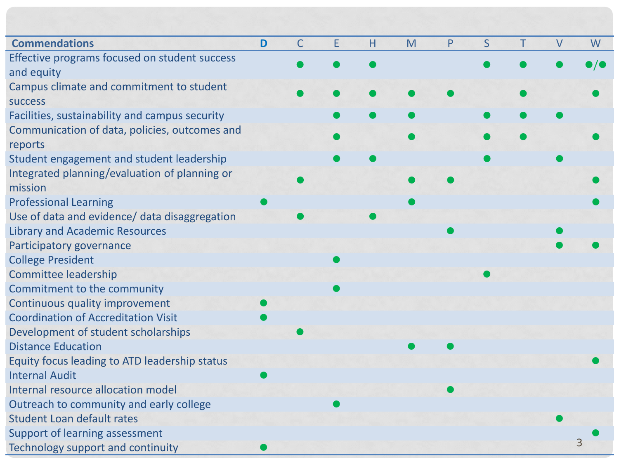| <b>Commendations</b>                           | D | C | E | Н | M | P | S | Τ | $\vee$ | W                 |
|------------------------------------------------|---|---|---|---|---|---|---|---|--------|-------------------|
| Effective programs focused on student success  |   |   |   |   |   |   |   |   |        | $\bullet/\bullet$ |
| and equity                                     |   |   |   |   |   |   |   |   |        |                   |
| Campus climate and commitment to student       |   |   |   |   |   |   |   |   |        |                   |
| <b>SUCCESS</b>                                 |   |   |   |   |   |   |   |   |        |                   |
| Facilities, sustainability and campus security |   |   |   |   |   |   |   |   |        |                   |
| Communication of data, policies, outcomes and  |   |   |   |   |   |   |   |   |        |                   |
| reports                                        |   |   |   |   |   |   |   |   |        |                   |
| Student engagement and student leadership      |   |   |   |   |   |   |   |   |        |                   |
| Integrated planning/evaluation of planning or  |   |   |   |   |   |   |   |   |        |                   |
| mission                                        |   |   |   |   |   |   |   |   |        |                   |
| <b>Professional Learning</b>                   |   |   |   |   |   |   |   |   |        |                   |
| Use of data and evidence/ data disaggregation  |   |   |   |   |   |   |   |   |        |                   |
| <b>Library and Academic Resources</b>          |   |   |   |   |   |   |   |   |        |                   |
| Participatory governance                       |   |   |   |   |   |   |   |   |        |                   |
| <b>College President</b>                       |   |   |   |   |   |   |   |   |        |                   |
| <b>Committee leadership</b>                    |   |   |   |   |   |   |   |   |        |                   |
| Commitment to the community                    |   |   |   |   |   |   |   |   |        |                   |
| Continuous quality improvement                 |   |   |   |   |   |   |   |   |        |                   |
| <b>Coordination of Accreditation Visit</b>     |   |   |   |   |   |   |   |   |        |                   |
| Development of student scholarships            |   |   |   |   |   |   |   |   |        |                   |
| <b>Distance Education</b>                      |   |   |   |   |   |   |   |   |        |                   |
| Equity focus leading to ATD leadership status  |   |   |   |   |   |   |   |   |        |                   |
| <b>Internal Audit</b>                          |   |   |   |   |   |   |   |   |        |                   |
| Internal resource allocation model             |   |   |   |   |   |   |   |   |        |                   |
| Outreach to community and early college        |   |   |   |   |   |   |   |   |        |                   |
| <b>Student Loan default rates</b>              |   |   |   |   |   |   |   |   |        |                   |
| Support of learning assessment                 |   |   |   |   |   |   |   |   |        |                   |
| Technology support and continuity              |   |   |   |   |   |   |   |   |        | 3                 |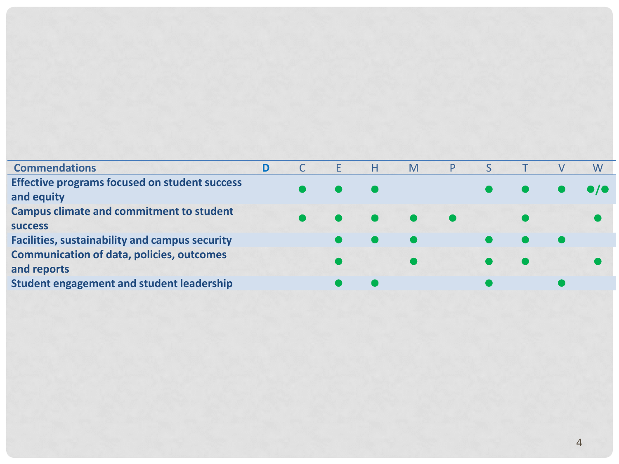| <b>Commendations</b>                                  |  | н                   | M | P. |  | W |
|-------------------------------------------------------|--|---------------------|---|----|--|---|
| <b>Effective programs focused on student success</b>  |  |                     |   |    |  |   |
| and equity                                            |  |                     |   |    |  |   |
| <b>Campus climate and commitment to student</b>       |  | $\bullet$ $\bullet$ |   |    |  |   |
| <b>SUCCESS</b>                                        |  |                     |   |    |  |   |
| <b>Facilities, sustainability and campus security</b> |  |                     |   |    |  |   |
| <b>Communication of data, policies, outcomes</b>      |  |                     |   |    |  |   |
| and reports                                           |  |                     |   |    |  |   |
| <b>Student engagement and student leadership</b>      |  |                     |   |    |  |   |
|                                                       |  |                     |   |    |  |   |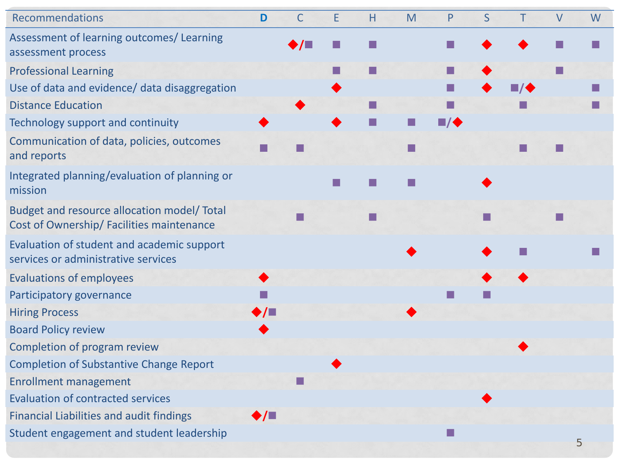#### Recommendations

Assessment of learning outcomes/ Learning assessment process

- Professional Learning
- Use of data and evidence/ data disaggregation Distance Education
- Technology support and continuity
- Communication of data, policies, outcomes and reports
- Integrated planning/evaluation of planning or mission
- Budget and resource allocation model/ Total Cost of Ownership/ Facilities maintenance
- Evaluation of student and academic support services or administrative services
- Evaluations of employees
- Participatory governance
- Hiring Process
- Board Policy review
- Completion of program review
- Completion of Substantive Change Report
- Enrollment management
- Evaluation of contracted services
- Financial Liabilities and audit findings
- Student engagement and student leadership

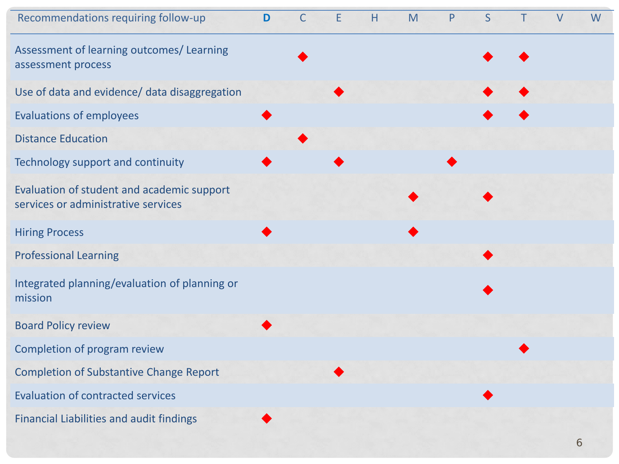#### Recommendations requiring follow-up **D** C E H M P S T V W

Assessment of learning outcomes/ Learning

- Use of data and evidence/ data disaggregation
- Evaluations of employees
- Distance Education
- Technology support and continuity
- Evaluation of student and academic support services or administrative services
- Hiring Process
- Professional Learning
- Integrated planning/evaluation of planning or  $\blacksquare$ mission and  $\blacklozenge$  mission and  $\blacklozenge$  mission and  $\blacklozenge$  mission and  $\blacklozenge$  mission and  $\blacklozenge$  mission and  $\blacklozenge$  mission and  $\blacklozenge$  mission and  $\blacklozenge$  mission and  $\blacklozenge$  mission and  $\blacklozenge$  mission and  $\black$
- Board Policy review
- Completion of program review
- Completion of Substantive Change Report
- Evaluation of contracted services
- Financial Liabilities and audit findings